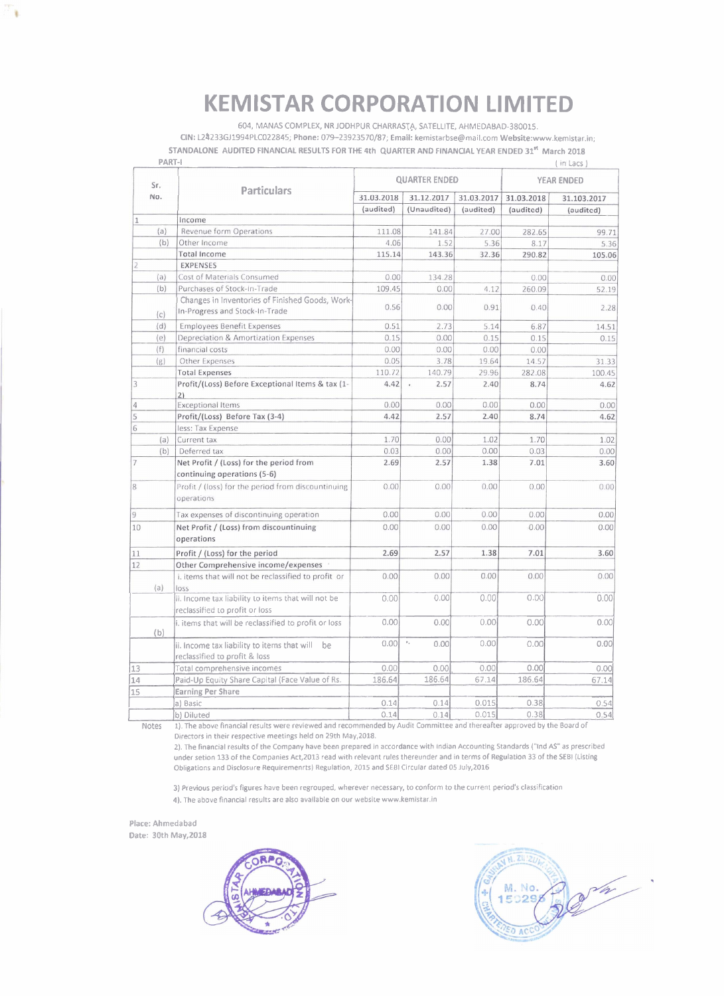# **KEMISTAR CORPORATION LIMITED**

604, MANAS COMPLEX, NR JODHPUR CHARRASTA, SATELLITE, AHMEDABAD-380015. CIN: L24233GJ1994PLC022845; Phone: 079-23923570/87; Email: kemistarbse@mail.com Website:www.kemistar.in; STANDALONE AUDITED FINANCIAL RESULTS FOR THE 4th QUARTER AND FINANCIAL YEAR ENDED 31" March 2018

| PART-I         |                                                                                                                          |                      |                        |            |                   | (in Lacs)   |
|----------------|--------------------------------------------------------------------------------------------------------------------------|----------------------|------------------------|------------|-------------------|-------------|
| Sr.<br>No.     | <b>Particulars</b>                                                                                                       | <b>QUARTER ENDED</b> |                        |            | <b>YEAR ENDED</b> |             |
|                |                                                                                                                          | 31.03.2018           | 31.12.2017             | 31.03.2017 | 31.03.2018        | 31.103.2017 |
|                |                                                                                                                          | (audited)            | (Unaudited)            | (audited)  | (audited)         | (audited)   |
| 1              | Income                                                                                                                   |                      |                        |            |                   |             |
| (a)            | Revenue form Operations                                                                                                  | 111.08               | 141.84                 | 27.00      | 282.65            | 99.71       |
| (b)            | Other Income                                                                                                             | 4.06                 | 1.52                   | 5.36       | 8.17              | 5.36        |
|                | <b>Total Income</b>                                                                                                      | 115.14               | 143.36                 | 32.36      | 290.82            | 105.06      |
|                | <b>EXPENSES</b>                                                                                                          |                      |                        |            |                   |             |
| (a)            | Cost of Materials Consumed                                                                                               | 0.00                 | 134.28                 |            | 0.00              | 0.00        |
| (b)            | Purchases of Stock-In-Trade                                                                                              | 109.45               | 0.00                   | 4.12       | 260.09            | 52.19       |
| (c)            | Changes in Inventories of Finished Goods, Work-<br>In-Progress and Stock-In-Trade                                        | 0.56                 | 0.00                   | 0.91       | 0.40              | 2.28        |
| (d)            | <b>Employees Benefit Expenses</b>                                                                                        | 0.51                 | 2.73                   | 5.14       | 6.87              | 14.51       |
| (e)            | Depreciation & Amortization Expenses                                                                                     | 0.15                 | 0.00                   | 0.15       | 0.15              | 0.15        |
| (f)            | financial costs                                                                                                          | 0.00                 | 0.00                   | 0.00       | 0.00              |             |
| (g)            | Other Expenses                                                                                                           | 0.05                 | 3.78                   | 19.64      | 14.57             | 31.33       |
|                | <b>Total Expenses</b>                                                                                                    | 110.72               | 140.79                 | 29.96      | 282.08            | 100.45      |
| 3              | Profit/(Loss) Before Exceptional Items & tax (1-<br>21                                                                   | 4.42                 | 2.57                   | 2.40       | 8.74              | 4.62        |
| 4              | <b>Exceptional Items</b>                                                                                                 | 0.00                 | 0.00                   | 0.00       | 0.00              | 0.00        |
| 5              | Profit/(Loss) Before Tax (3-4)                                                                                           | 4.42                 | 2.57                   | 2.40       | 8.74              | 4.62        |
| 6              | less: Tax Expense                                                                                                        |                      |                        |            |                   |             |
| (a)            | Current tax                                                                                                              | 1.70                 | 0.00                   | 1.02       | 1.70              | 1.02        |
| (b)            | Deferred tax                                                                                                             | 0.03                 | 0.00                   | 0.00       | 0.03              | 0.00        |
| $\overline{7}$ | Net Profit / (Loss) for the period from                                                                                  | 2.69                 | 2.57                   | 1.38       | 7.01              | 3.60        |
|                | continuing operations (5-6)                                                                                              |                      |                        |            |                   |             |
| 8              | Profit / (loss) for the period from discountinuing<br>operations                                                         | 0.00                 | 0.00                   | 0.00       | 0.00              | 0.00        |
| 9              | Tax expenses of discontinuing operation                                                                                  | 0.00                 | 0.00                   | 0.00       | 0.00              | 0.00        |
| 10             | Net Profit / (Loss) from discountinuing<br>operations                                                                    | 0.00                 | 0.00                   | 0.00       | 0.00              | 0.00        |
| 11             | Profit / (Loss) for the period                                                                                           | 2.69                 | 2.57                   | 1.38       | 7.01              | 3.60        |
| 12             | Other Comprehensive income/expenses                                                                                      |                      |                        |            |                   |             |
| (a)            | i, items that will not be reclassified to profit or<br>loss                                                              | 0.00                 | 0.00                   | 0.00       | 0.00              | 0.00        |
|                | ii. Income tax liability to items that will not be<br>reclassified to profit or loss                                     | 0.00                 | 0.00                   | 0.00       | 0.00              | 0.00        |
| (b)            | i. items that will be reclassified to profit or loss                                                                     | 0.00                 | 0.00                   | 0.00       | 0.00              | 0.00        |
|                | ii. Income tax liability to items that will<br>be<br>reclassified to profit & loss                                       | 0.001                | $\mathbb{F}_q$<br>0.00 | 0.00       | 0.00              | 0.00        |
| 13             | Total comprehensive incomes                                                                                              | 0.00                 | 0.00                   | 0.00       | 0.00              | 0.00        |
| 14             | Paid-Up Equity Share Capital (Face Value of Rs.                                                                          | 186.64               | 186.64                 | 67.14      | 186.64            | 67.14       |
| 15             | <b>Earning Per Share</b>                                                                                                 |                      |                        |            |                   |             |
|                | a) Basic                                                                                                                 | 0.14                 | 0.14                   | 0.015      | 0.38              | 0.54        |
|                | b) Diluted                                                                                                               | 0.14                 | 0.14                   | 0.015      | 0.38              | 0.54        |
| Notes          | 1). The above financial results were reviewed and recommended by Audit Committee and thereafter approved by the Board of |                      |                        |            |                   |             |

Directors in their respective meetings held on 29th May,2018.

2). The financial results of the Company have been prepared in accordance with Indian Accounting Standards ("lnd AS" as prescribed under setion 133 of the Companies Act,2013 read with relevant rules thereunder and in terms of Regulation 33 of the SEBl (Listing Obligations and Disclosure Requiremenrtsl Regulation, 2015 and SEBl Circular dated 05 July,2016

3) Previous period's figures have been regrouped, wherever necessary, to conform to the current period's classification 4). The above financial results are also available on our website www.kemistar.in

Place: Ahmedabad Date: 30th May, 2018

 $\ddot{\textbf{u}}$ 



 $N.$  Zii 120 d<sub>a</sub> M. No. 5029 **DAC**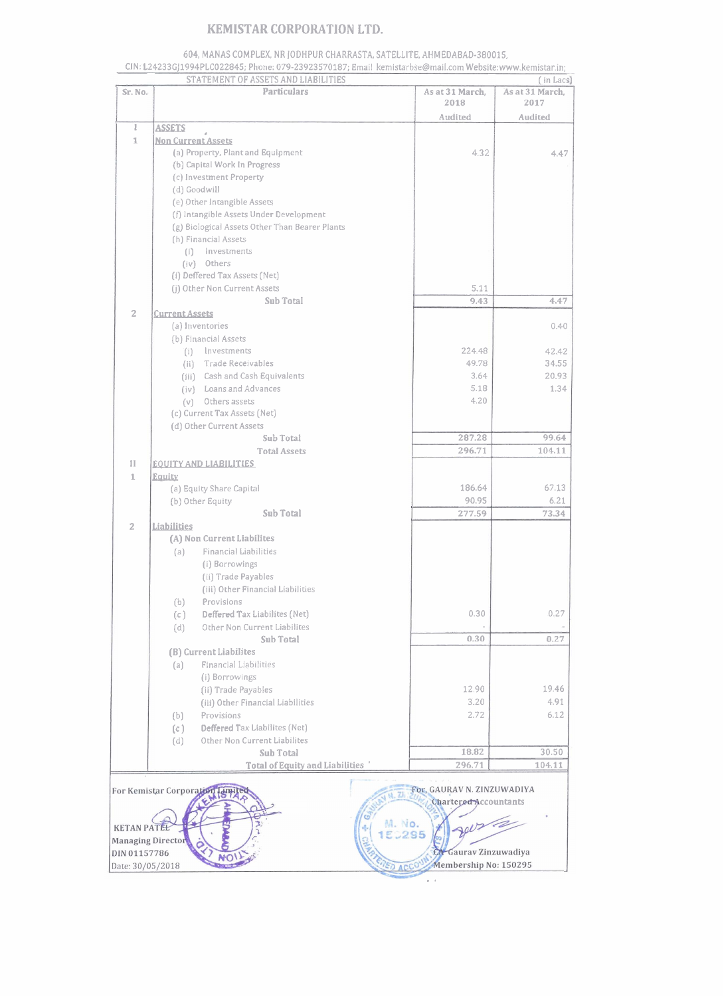### **KEMlSTAR CORPORATION LTD.**

#### **604,** MANAS COMPLEX. NR JODHPUR CHARRASTA, SATELLITE, AHMEDABAD-380015,

|                                                                                                    | <b>KEMISTAR CORPORATION LTD.</b><br>604, MANAS COMPLEX, NR JODHPUR CHARRASTA, SATELLITE, AHMEDABAD-380015,                                     |                 |                 |  |  |  |  |
|----------------------------------------------------------------------------------------------------|------------------------------------------------------------------------------------------------------------------------------------------------|-----------------|-----------------|--|--|--|--|
|                                                                                                    | CIN: L24233GJ1994PLC022845; Phone: 079-23923570187; Email kemistarbse@mail.com Website:www.kemistar.in;<br>STATEMENT OF ASSETS AND LIABILITIES |                 | ( in Lacs)      |  |  |  |  |
| Sr. No.                                                                                            | <b>Particulars</b>                                                                                                                             | As at 31 March, | As at 31 March, |  |  |  |  |
|                                                                                                    |                                                                                                                                                | 2018            | 2017            |  |  |  |  |
| ı                                                                                                  | <b>ASSETS</b>                                                                                                                                  | Audited         | Audited         |  |  |  |  |
| T.                                                                                                 | <b>Non Current Assets</b>                                                                                                                      |                 |                 |  |  |  |  |
|                                                                                                    | (a) Property, Plant and Equipment                                                                                                              | 4.32            | 4.47            |  |  |  |  |
|                                                                                                    | (b) Capital Work In Progress<br>(c) Investment Property                                                                                        |                 |                 |  |  |  |  |
|                                                                                                    | (d) Goodwill                                                                                                                                   |                 |                 |  |  |  |  |
|                                                                                                    | (e) Other Intangible Assets                                                                                                                    |                 |                 |  |  |  |  |
|                                                                                                    | (f) Intangible Assets Under Development                                                                                                        |                 |                 |  |  |  |  |
|                                                                                                    | (g) Biological Assets Other Than Bearer Plants<br>(h) Financial Assets                                                                         |                 |                 |  |  |  |  |
|                                                                                                    | Investments<br>(i)                                                                                                                             |                 |                 |  |  |  |  |
|                                                                                                    | (iv) Others                                                                                                                                    |                 |                 |  |  |  |  |
|                                                                                                    | (i) Deffered Tax Assets (Net)                                                                                                                  |                 |                 |  |  |  |  |
|                                                                                                    | (j) Other Non Current Assets<br>Sub Total                                                                                                      | 5.11<br>9.43    | 4.47            |  |  |  |  |
| 2                                                                                                  | <b>Current Assets</b>                                                                                                                          |                 |                 |  |  |  |  |
|                                                                                                    | (a) Inventories                                                                                                                                |                 | 0.40            |  |  |  |  |
|                                                                                                    | (b) Financial Assets                                                                                                                           |                 |                 |  |  |  |  |
|                                                                                                    | (i) Investments<br>(ii) Trade Receivables                                                                                                      | 224.48<br>49.78 | 42.42<br>34.55  |  |  |  |  |
|                                                                                                    | (iii) Cash and Cash Equivalents                                                                                                                | 3.64            | 20.93           |  |  |  |  |
|                                                                                                    | (iv) Loans and Advances                                                                                                                        | 5.18            | 1.34            |  |  |  |  |
|                                                                                                    | (v) Others assets                                                                                                                              | 4.20            |                 |  |  |  |  |
|                                                                                                    | (c) Current Tax Assets (Net)<br>(d) Other Current Assets                                                                                       |                 |                 |  |  |  |  |
|                                                                                                    | Sub Total                                                                                                                                      | 287.28          | 99.64           |  |  |  |  |
|                                                                                                    | Total Assets                                                                                                                                   | 296.71          | 104.11          |  |  |  |  |
| $\mathbb{I}$                                                                                       | <b>EQUITY AND LIABILITIES</b>                                                                                                                  |                 |                 |  |  |  |  |
| $1$                                                                                                | Equity<br>(a) Equity Share Capital                                                                                                             | 186.64          | 67.13           |  |  |  |  |
|                                                                                                    | (b) Other Equity                                                                                                                               | 90.95           | 6.21            |  |  |  |  |
|                                                                                                    | Sub Total                                                                                                                                      | 277.59          | 73.34           |  |  |  |  |
| 2                                                                                                  | Liabilities                                                                                                                                    |                 |                 |  |  |  |  |
|                                                                                                    | (A) Non Current Liabilites<br>Financial Liabilities<br>(a)                                                                                     |                 |                 |  |  |  |  |
|                                                                                                    | (i) Borrowings                                                                                                                                 |                 |                 |  |  |  |  |
|                                                                                                    | (ii) Trade Payables                                                                                                                            |                 |                 |  |  |  |  |
|                                                                                                    | (iii) Other Financial Liabilities                                                                                                              |                 |                 |  |  |  |  |
|                                                                                                    | Provisions<br>(b)<br>Deffered Tax Liabilites (Net)<br>(c)                                                                                      | 0.30            | 0.27            |  |  |  |  |
|                                                                                                    | Other Non Current Liabilites<br>(d)                                                                                                            |                 |                 |  |  |  |  |
|                                                                                                    | Sub Total                                                                                                                                      | 0.30            | 0.27            |  |  |  |  |
|                                                                                                    | (B) Current Liabilites                                                                                                                         |                 |                 |  |  |  |  |
|                                                                                                    | Financial Liabilities<br>(a)<br>(i) Borrowings                                                                                                 |                 |                 |  |  |  |  |
|                                                                                                    | (ii) Trade Payables                                                                                                                            | 12.90           | 19.46           |  |  |  |  |
|                                                                                                    | (iii) Other Financial Liabilities                                                                                                              | 3.20            | 4.91            |  |  |  |  |
|                                                                                                    | Provisions<br>(b)                                                                                                                              | 2.72            | 6.12            |  |  |  |  |
|                                                                                                    | Deffered Tax Liabilites (Net)<br>(c)<br>Other Non Current Liabilites                                                                           |                 |                 |  |  |  |  |
|                                                                                                    | (d)<br>Sub Total                                                                                                                               | 18.82           | 30.50           |  |  |  |  |
|                                                                                                    | Total of Equity and Liabilities                                                                                                                | 296.71          | 104.11          |  |  |  |  |
|                                                                                                    |                                                                                                                                                |                 |                 |  |  |  |  |
| For, GAURAV N. ZINZUWADIYA<br>For Kemistar Corporation<br>Chartered Accountants                    |                                                                                                                                                |                 |                 |  |  |  |  |
|                                                                                                    |                                                                                                                                                |                 |                 |  |  |  |  |
| wsta<br>M. No.<br><b>KETAN PATEL</b><br>3295                                                       |                                                                                                                                                |                 |                 |  |  |  |  |
| <b>Managing Director</b>                                                                           |                                                                                                                                                |                 |                 |  |  |  |  |
| Gaurav Zinzuwadiya<br>DIN 01157786<br>Membership No: 150295<br><b>ED ACCON</b><br>Date: 30/05/2018 |                                                                                                                                                |                 |                 |  |  |  |  |
|                                                                                                    |                                                                                                                                                |                 |                 |  |  |  |  |